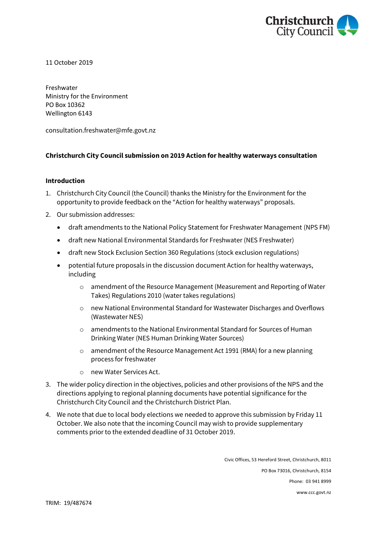

11 October 2019

Freshwater Ministry for the Environment PO Box 10362 Wellington 6143

consultation.freshwater@mfe.govt.nz

### **Christchurch City Council submission on 2019 Action for healthy waterways consultation**

### **Introduction**

- 1. Christchurch City Council (the Council) thanks the Ministry for the Environment for the opportunity to provide feedback on the "Action for healthy waterways" proposals.
- 2. Our submission addresses:
	- draft amendments to the National Policy Statement for Freshwater Management (NPS FM)
	- draft new National Environmental Standards for Freshwater (NES Freshwater)
	- draft new Stock Exclusion Section 360 Regulations (stock exclusion regulations)
	- potential future proposals in the discussion document Action for healthy waterways, including
		- o amendment of the Resource Management (Measurement and Reporting of Water Takes) Regulations 2010 (water takes regulations)
		- o new National Environmental Standard for Wastewater Discharges and Overflows (Wastewater NES)
		- o amendments to the National Environmental Standard for Sources of Human Drinking Water (NES Human Drinking Water Sources)
		- o amendment of the Resource Management Act 1991 (RMA) for a new planning process for freshwater
		- o new Water Services Act.
- 3. The wider policy direction in the objectives, policies and other provisions of the NPS and the directions applying to regional planning documents have potential significance for the Christchurch City Council and the Christchurch District Plan.
- 4. We note that due to local body elections we needed to approve this submission by Friday 11 October. We also note that the incoming Council may wish to provide supplementary comments prior to the extended deadline of 31 October 2019.

Civic Offices, 53 Hereford Street, Christchurch, 8011 PO Box 73016, Christchurch, 8154 Phone: 03 941 8999 www.ccc.govt.nz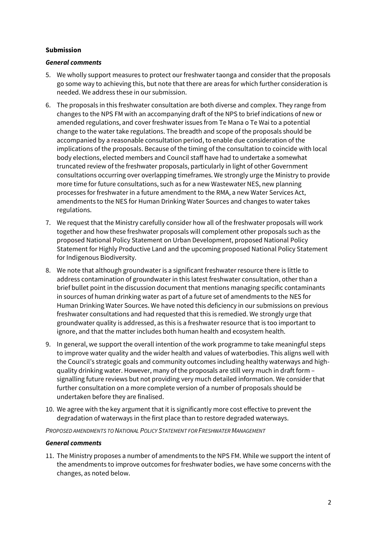### **Submission**

## *General comments*

- 5. We wholly support measures to protect our freshwater taonga and consider that the proposals go some way to achieving this, but note that there are areas for which further consideration is needed. We address these in our submission.
- 6. The proposals in this freshwater consultation are both diverse and complex. They range from changes to the NPS FM with an accompanying draft of the NPS to brief indications of new or amended regulations, and cover freshwater issues from Te Mana o Te Wai to a potential change to the water take regulations. The breadth and scope of the proposals should be accompanied by a reasonable consultation period, to enable due consideration of the implications of the proposals. Because of the timing of the consultation to coincide with local body elections, elected members and Council staff have had to undertake a somewhat truncated review of the freshwater proposals, particularly in light of other Government consultations occurring over overlapping timeframes. We strongly urge the Ministry to provide more time for future consultations, such as for a new Wastewater NES, new planning processes for freshwater in a future amendment to the RMA, a new Water Services Act, amendments to the NES for Human Drinking Water Sources and changes to water takes regulations.
- 7. We request that the Ministry carefully consider how all of the freshwater proposals will work together and how these freshwater proposals will complement other proposals such as the proposed National Policy Statement on Urban Development, proposed National Policy Statement for Highly Productive Land and the upcoming proposed National Policy Statement for Indigenous Biodiversity.
- 8. We note that although groundwater is a significant freshwater resource there is little to address contamination of groundwater in this latest freshwater consultation, other than a brief bullet point in the discussion document that mentions managing specific contaminants in sources of human drinking water as part of a future set of amendments to the NES for Human Drinking Water Sources. We have noted this deficiency in our submissions on previous freshwater consultations and had requested that this is remedied. We strongly urge that groundwater quality is addressed, as this is a freshwater resource that is too important to ignore, and that the matter includes both human health and ecosystem health.
- 9. In general, we support the overall intention of the work programme to take meaningful steps to improve water quality and the wider health and values of waterbodies. This aligns well with the Council's strategic goals and community outcomes including healthy waterways and highquality drinking water. However, many of the proposals are still very much in draft form – signalling future reviews but not providing very much detailed information. We consider that further consultation on a more complete version of a number of proposals should be undertaken before they are finalised.
- 10. We agree with the key argument that it is significantly more cost effective to prevent the degradation of waterways in the first place than to restore degraded waterways.

*PROPOSED AMENDMENTS TO NATIONAL POLICY STATEMENT FOR FRESHWATER MANAGEMENT*

### *General comments*

11. The Ministry proposes a number of amendments to the NPS FM. While we support the intent of the amendments to improve outcomes for freshwater bodies, we have some concerns with the changes, as noted below.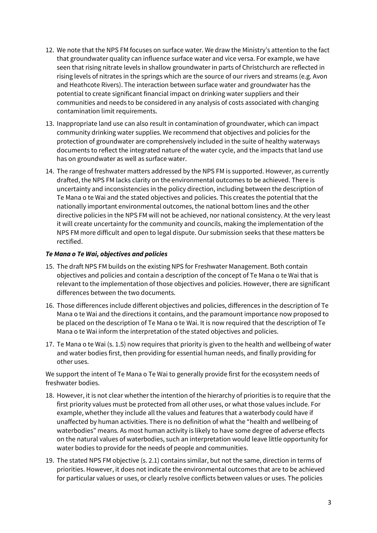- 12. We note that the NPS FM focuses on surface water. We draw the Ministry's attention to the fact that groundwater quality can influence surface water and vice versa. For example, we have seen that rising nitrate levels in shallow groundwater in parts of Christchurch are reflected in rising levels of nitrates in the springs which are the source of our rivers and streams (e.g. Avon and Heathcote Rivers). The interaction between surface water and groundwater has the potential to create significant financial impact on drinking water suppliers and their communities and needs to be considered in any analysis of costs associated with changing contamination limit requirements.
- 13. Inappropriate land use can also result in contamination of groundwater, which can impact community drinking water supplies. We recommend that objectives and policies for the protection of groundwater are comprehensively included in the suite of healthy waterways documents to reflect the integrated nature of the water cycle, and the impacts that land use has on groundwater as well as surface water.
- 14. The range of freshwater matters addressed by the NPS FM is supported. However, as currently drafted, the NPS FM lacks clarity on the environmental outcomes to be achieved. There is uncertainty and inconsistencies in the policy direction, including between the description of Te Mana o te Wai and the stated objectives and policies. This creates the potential that the nationally important environmental outcomes, the national bottom lines and the other directive policies in the NPS FM will not be achieved, nor national consistency. At the very least it will create uncertainty for the community and councils, making the implementation of the NPS FM more difficult and open to legal dispute. Our submission seeks that these matters be rectified.

## *Te Mana o Te Wai, objectives and policies*

- 15. The draft NPS FM builds on the existing NPS for Freshwater Management. Both contain objectives and policies and contain a description of the concept of Te Mana o te Wai that is relevant to the implementation of those objectives and policies. However, there are significant differences between the two documents.
- 16. Those differences include different objectives and policies, differences in the description of Te Mana o te Wai and the directions it contains, and the paramount importance now proposed to be placed on the description of Te Mana o te Wai. It is now required that the description of Te Mana o te Wai inform the interpretation of the stated objectives and policies.
- 17. Te Mana o te Wai (s. 1.5) now requires that priority is given to the health and wellbeing of water and water bodies first, then providing for essential human needs, and finally providing for other uses.

We support the intent of Te Mana o Te Wai to generally provide first for the ecosystem needs of freshwater bodies.

- 18. However, it is not clear whether the intention of the hierarchy of priorities is to require that the first priority values must be protected from all other uses, or what those values include. For example, whether they include all the values and features that a waterbody could have if unaffected by human activities. There is no definition of what the "health and wellbeing of waterbodies" means. As most human activity is likely to have some degree of adverse effects on the natural values of waterbodies, such an interpretation would leave little opportunity for water bodies to provide for the needs of people and communities.
- 19. The stated NPS FM objective (s. 2.1) contains similar, but not the same, direction in terms of priorities. However, it does not indicate the environmental outcomes that are to be achieved for particular values or uses, or clearly resolve conflicts between values or uses. The policies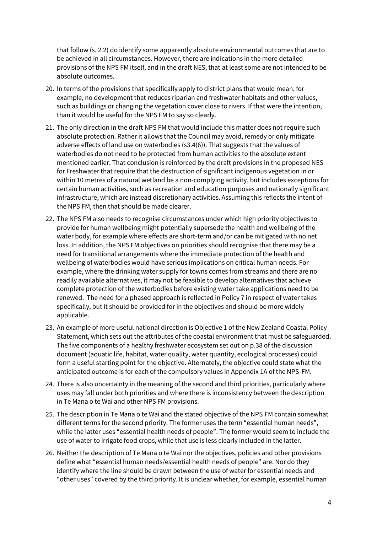that follow (s. 2.2) do identify some apparently absolute environmental outcomes that are to be achieved in all circumstances. However, there are indications in the more detailed provisions of the NPS FM itself, and in the draft NES, that at least some are not intended to be absolute outcomes.

- 20. In terms of the provisions that specifically apply to district plans that would mean, for example, no development that reduces riparian and freshwater habitats and other values, such as buildings or changing the vegetation cover close to rivers. If that were the intention, than it would be useful for the NPS FM to say so clearly.
- 21. The only direction in the draft NPS FM that would include this matter does not require such absolute protection. Rather it allows that the Council may avoid, remedy or only mitigate adverse effects of land use on waterbodies (s3.4(6)). That suggests that the values of waterbodies do not need to be protected from human activities to the absolute extent mentioned earlier. That conclusion is reinforced by the draft provisions in the proposed NES for Freshwater that require that the destruction of significant indigenous vegetation in or within 10 metres of a natural wetland be a non-complying activity, but includes exceptions for certain human activities, such as recreation and education purposes and nationally significant infrastructure, which are instead discretionary activities. Assuming this reflects the intent of the NPS FM, then that should be made clearer.
- 22. The NPS FM also needs to recognise circumstances under which high priority objectives to provide for human wellbeing might potentially supersede the health and wellbeing of the water body, for example where effects are short-term and/or can be mitigated with no net loss. In addition, the NPS FM objectives on priorities should recognise that there may be a need for transitional arrangements where the immediate protection of the health and wellbeing of waterbodies would have serious implications on critical human needs. For example, where the drinking water supply for towns comes from streams and there are no readily available alternatives, it may not be feasible to develop alternatives that achieve complete protection of the waterbodies before existing water take applications need to be renewed. The need for a phased approach is reflected in Policy 7 in respect of water takes specifically, but it should be provided for in the objectives and should be more widely applicable.
- 23. An example of more useful national direction is Objective 1 of the New Zealand Coastal Policy Statement, which sets out the attributes of the coastal environment that must be safeguarded. The five components of a healthy freshwater ecosystem set out on p.38 of the discussion document (aquatic life, habitat, water quality, water quantity, ecological processes) could form a useful starting point for the objective. Alternately, the objective could state what the anticipated outcome is for each of the compulsory values in Appendix 1A of the NPS-FM.
- 24. There is also uncertainty in the meaning of the second and third priorities, particularly where uses may fall under both priorities and where there is inconsistency between the description in Te Mana o te Wai and other NPS FM provisions.
- 25. The description in Te Mana o te Wai and the stated objective of the NPS FM contain somewhat different terms for the second priority. The former uses the term "essential human needs", while the latter uses "essential health needs of people". The former would seem to include the use of water to irrigate food crops, while that use is less clearly included in the latter.
- 26. Neither the description of Te Mana o te Wai nor the objectives, policies and other provisions define what "essential human needs/essential health needs of people" are. Nor do they identify where the line should be drawn between the use of water for essential needs and "other uses" covered by the third priority. It is unclear whether, for example, essential human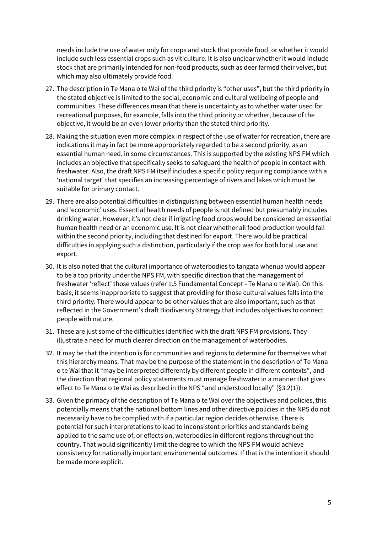needs include the use of water only for crops and stock that provide food, or whether it would include such less essential crops such as viticulture. It is also unclear whether it would include stock that are primarily intended for non-food products, such as deer farmed their velvet, but which may also ultimately provide food.

- 27. The description in Te Mana o te Wai of the third priority is "other uses", but the third priority in the stated objective is limited to the social, economic and cultural wellbeing of people and communities. These differences mean that there is uncertainty as to whether water used for recreational purposes, for example, falls into the third priority or whether, because of the objective, it would be an even lower priority than the stated third priority.
- 28. Making the situation even more complex in respect of the use of water for recreation, there are indications it may in fact be more appropriately regarded to be a second priority, as an essential human need, in some circumstances. This is supported by the existing NPS FM which includes an objective that specifically seeks to safeguard the health of people in contact with freshwater. Also, the draft NPS FM itself includes a specific policy requiring compliance with a 'national target' that specifies an increasing percentage of rivers and lakes which must be suitable for primary contact.
- 29. There are also potential difficulties in distinguishing between essential human health needs and 'economic' uses. Essential health needs of people is not defined but presumably includes drinking water. However, it's not clear if irrigating food crops would be considered an essential human health need or an economic use. It is not clear whether all food production would fall within the second priority, including that destined for export. There would be practical difficulties in applying such a distinction, particularly if the crop was for both local use and export.
- 30. It is also noted that the cultural importance of waterbodies to tangata whenua would appear to be a top priority under the NPS FM, with specific direction that the management of freshwater 'reflect' those values (refer 1.5 Fundamental Concept - Te Mana o te Wai). On this basis, it seems inappropriate to suggest that providing for those cultural values falls into the third priority. There would appear to be other values that are also important, such as that reflected in the Government's draft Biodiversity Strategy that includes objectives to connect people with nature.
- 31. These are just some of the difficulties identified with the draft NPS FM provisions. They illustrate a need for much clearer direction on the management of waterbodies.
- 32. It may be that the intention is for communities and regions to determine for themselves what this hierarchy means. That may be the purpose of the statement in the description of Te Mana o te Wai that it "may be interpreted differently by different people in different contexts", and the direction that regional policy statements must manage freshwater in a manner that gives effect to Te Mana o te Wai as described in the NPS "and understood locally" (§3.2(1)).
- 33. Given the primacy of the description of Te Mana o te Wai over the objectives and policies, this potentially means that the national bottom lines and other directive policies in the NPS do not necessarily have to be complied with if a particular region decides otherwise. There is potential for such interpretations to lead to inconsistent priorities and standards being applied to the same use of, or effects on, waterbodies in different regions throughout the country. That would significantly limit the degree to which the NPS FM would achieve consistency for nationally important environmental outcomes. If that is the intention it should be made more explicit.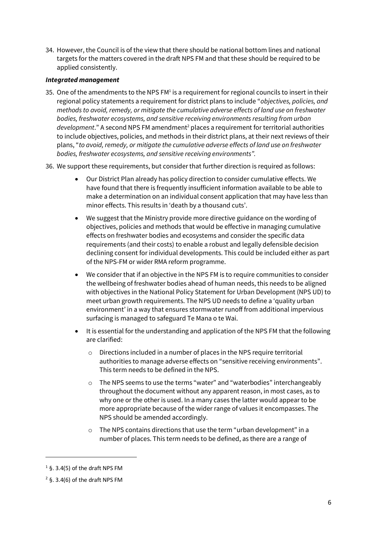34. However, the Council is of the view that there should be national bottom lines and national targets for the matters covered in the draft NPS FM and that these should be required to be applied consistently.

### *Integrated management*

- 35. One of the amendments to the NPS  $FM<sup>1</sup>$  is a requirement for regional councils to insert in their regional policy statements a requirement for district plans to include "*objectives, policies, and methods to avoid, remedy, or mitigate the cumulative adverse effects of land use on freshwater bodies, freshwater ecosystems, and sensitive receiving environments resulting from urban*  development." A second NPS FM amendment<sup>2</sup> places a requirement for territorial authorities to include objectives, policies, and methods in their district plans, at their next reviews of their plans, "*to avoid, remedy, or mitigate the cumulative adverse effects of land use on freshwater bodies, freshwater ecosystems, and sensitive receiving environments".*
- 36. We support these requirements, but consider that further direction is required as follows:
	- Our District Plan already has policy direction to consider cumulative effects. We have found that there is frequently insufficient information available to be able to make a determination on an individual consent application that may have less than minor effects. This results in 'death by a thousand cuts'.
	- We suggest that the Ministry provide more directive guidance on the wording of objectives, policies and methods that would be effective in managing cumulative effects on freshwater bodies and ecosystems and consider the specific data requirements (and their costs) to enable a robust and legally defensible decision declining consent for individual developments. This could be included either as part of the NPS-FM or wider RMA reform programme.
	- We consider that if an objective in the NPS FM is to require communities to consider the wellbeing of freshwater bodies ahead of human needs, this needs to be aligned with objectives in the National Policy Statement for Urban Development (NPS UD) to meet urban growth requirements. The NPS UD needs to define a 'quality urban environment' in a way that ensures stormwater runoff from additional impervious surfacing is managed to safeguard Te Mana o te Wai.
	- It is essential for the understanding and application of the NPS FM that the following are clarified:
		- o Directions included in a number of places in the NPS require territorial authorities to manage adverse effects on "sensitive receiving environments". This term needs to be defined in the NPS.
		- o The NPS seems to use the terms "water" and "waterbodies" interchangeably throughout the document without any apparent reason, in most cases, as to why one or the other is used. In a many cases the latter would appear to be more appropriate because of the wider range of values it encompasses. The NPS should be amended accordingly.
		- o The NPS contains directions that use the term "urban development" in a number of places. This term needs to be defined, as there are a range of

1

 $1$  §. 3.4(5) of the draft NPS FM

 $2$  §, 3.4(6) of the draft NPS FM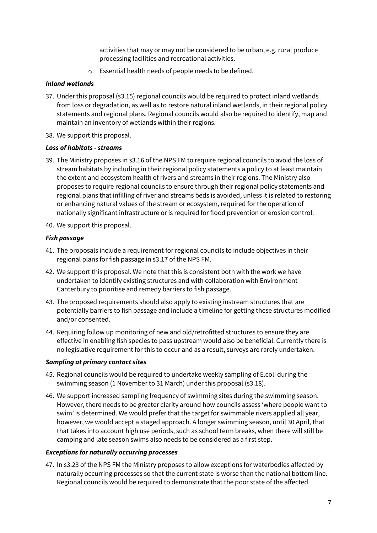activities that may or may not be considered to be urban, e.g. rural produce processing facilities and recreational activities.

o Essential health needs of people needs to be defined.

### *Inland wetlands*

- 37. Under this proposal (s3.15) regional councils would be required to protect inland wetlands from loss or degradation, as well as to restore natural inland wetlands, in their regional policy statements and regional plans. Regional councils would also be required to identify, map and maintain an inventory of wetlands within their regions.
- 38. We support this proposal.

### *Loss of habitats - streams*

- 39. The Ministry proposes in s3.16 of the NPS FM to require regional councils to avoid the loss of stream habitats by including in their regional policy statements a policy to at least maintain the extent and ecosystem health of rivers and streams in their regions. The Ministry also proposes to require regional councils to ensure through their regional policy statements and regional plans that infilling of river and streams beds is avoided, unless it is related to restoring or enhancing natural values of the stream or ecosystem, required for the operation of nationally significant infrastructure or is required for flood prevention or erosion control.
- 40. We support this proposal.

### *Fish passage*

- 41. The proposals include a requirement for regional councils to include objectives in their regional plans for fish passage in s3.17 of the NPS FM.
- 42. We support this proposal. We note that this is consistent both with the work we have undertaken to identify existing structures and with collaboration with Environment Canterbury to prioritise and remedy barriers to fish passage.
- 43. The proposed requirements should also apply to existing instream structures that are potentially barriers to fish passage and include a timeline for getting these structures modified and/or consented.
- 44. Requiring follow up monitoring of new and old/retrofitted structures to ensure they are effective in enabling fish species to pass upstream would also be beneficial. Currently there is no legislative requirement for this to occur and as a result, surveys are rarely undertaken.

### *Sampling at primary contact sites*

- 45. Regional councils would be required to undertake weekly sampling of E.coli during the swimming season (1 November to 31 March) under this proposal (s3.18).
- 46. We support increased sampling frequency of swimming sites during the swimming season. However, there needs to be greater clarity around how councils assess 'where people want to swim' is determined. We would prefer that the target for swimmable rivers applied all year, however, we would accept a staged approach. A longer swimming season, until 30 April, that that takes into account high use periods, such as school term breaks, when there will still be camping and late season swims also needs to be considered as a first step.

### *Exceptions for naturally occurring processes*

47. In s3.23 of the NPS FM the Ministry proposes to allow exceptions for waterbodies affected by naturally occurring processes so that the current state is worse than the national bottom line. Regional councils would be required to demonstrate that the poor state of the affected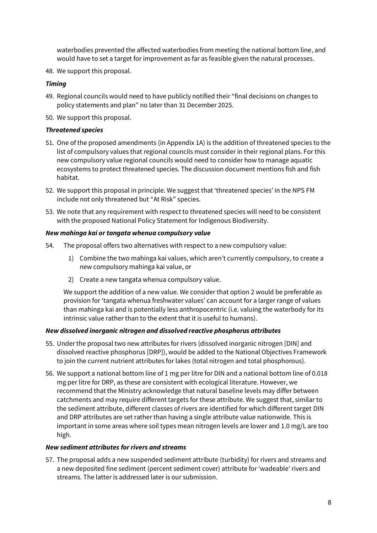waterbodies prevented the affected waterbodies from meeting the national bottom line, and would have to set a target for improvement as far as feasible given the natural processes.

48. We support this proposal.

### *Timing*

- 49. Regional councils would need to have publicly notified their "final decisions on changes to policy statements and plan" no later than 31 December 2025.
- 50. We support this proposal.

### *Threatened species*

- 51. One of the proposed amendments (in Appendix 1A) is the addition of threatened species to the list of compulsory values that regional councils must consider in their regional plans. For this new compulsory value regional councils would need to consider how to manage aquatic ecosystems to protect threatened species. The discussion document mentions fish and fish habitat.
- 52. We support this proposal in principle. We suggest that 'threatened species' in the NPS FM include not only threatened but "At Risk" species.
- 53. We note that any requirement with respect to threatened species will need to be consistent with the proposed National Policy Statement for Indigenous Biodiversity.

### *New mahinga kai or tangata whenua compulsory value*

- 54. The proposal offers two alternatives with respect to a new compulsory value:
	- 1) Combine the two mahinga kai values, which aren't currently compulsory, to create a new compulsory mahinga kai value, or
	- 2) Create a new tangata whenua compulsory value.

We support the addition of a new value. We consider that option 2 would be preferable as provision for 'tangata whenua freshwater values' can account for a larger range of values than mahinga kai and is potentially less anthropocentric (i.e. valuing the waterbody for its intrinsic value rather than to the extent that it is useful to humans).

### *New dissolved inorganic nitrogen and dissolved reactive phosphorus attributes*

- 55. Under the proposal two new attributes for rivers (dissolved inorganic nitrogen [DIN] and dissolved reactive phosphorus [DRP]), would be added to the National Objectives Framework to join the current nutrient attributes for lakes (total nitrogen and total phosphorous).
- 56. We support a national bottom line of 1 mg per litre for DIN and a national bottom line of 0.018 mg per litre for DRP, as these are consistent with ecological literature. However, we recommend that the Ministry acknowledge that natural baseline levels may differ between catchments and may require different targets for these attribute. We suggest that, similar to the sediment attribute, different classes of rivers are identified for which different target DIN and DRP attributes are set rather than having a single attribute value nationwide. This is important in some areas where soil types mean nitrogen levels are lower and 1.0 mg/L are too high.

### *New sediment attributes for rivers and streams*

57. The proposal adds a new suspended sediment attribute (turbidity) for rivers and streams and a new deposited fine sediment (percent sediment cover) attribute for 'wadeable' rivers and streams. The latter is addressed later is our submission.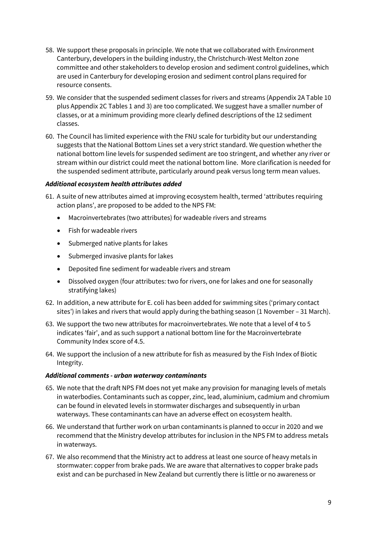- 58. We support these proposals in principle. We note that we collaborated with Environment Canterbury, developers in the building industry, the Christchurch-West Melton zone committee and other stakeholders to develop erosion and sediment control guidelines, which are used in Canterbury for developing erosion and sediment control plans required for resource consents.
- 59. We consider that the suspended sediment classes for rivers and streams (Appendix 2A Table 10 plus Appendix 2C Tables 1 and 3) are too complicated. We suggest have a smaller number of classes, or at a minimum providing more clearly defined descriptions of the 12 sediment classes.
- 60. The Council has limited experience with the FNU scale for turbidity but our understanding suggests that the National Bottom Lines set a very strict standard. We question whether the national bottom line levels for suspended sediment are too stringent, and whether any river or stream within our district could meet the national bottom line. More clarification is needed for the suspended sediment attribute, particularly around peak versus long term mean values.

## *Additional ecosystem health attributes added*

- 61. A suite of new attributes aimed at improving ecosystem health, termed 'attributes requiring action plans', are proposed to be added to the NPS FM:
	- Macroinvertebrates (two attributes) for wadeable rivers and streams
	- Fish for wadeable rivers
	- Submerged native plants for lakes
	- Submerged invasive plants for lakes
	- Deposited fine sediment for wadeable rivers and stream
	- Dissolved oxygen (four attributes: two for rivers, one for lakes and one for seasonally stratifying lakes)
- 62. In addition, a new attribute for E. coli has been added for swimming sites ('primary contact sites') in lakes and rivers that would apply during the bathing season (1 November – 31 March).
- 63. We support the two new attributes for macroinvertebrates. We note that a level of 4 to 5 indicates 'fair', and as such support a national bottom line for the Macroinvertebrate Community Index score of 4.5.
- 64. We support the inclusion of a new attribute for fish as measured by the Fish Index of Biotic Integrity.

### *Additional comments - urban waterway contaminants*

- 65. We note that the draft NPS FM does not yet make any provision for managing levels of metals in waterbodies. Contaminants such as copper, zinc, lead, aluminium, cadmium and chromium can be found in elevated levels in stormwater discharges and subsequently in urban waterways. These contaminants can have an adverse effect on ecosystem health.
- 66. We understand that further work on urban contaminants is planned to occur in 2020 and we recommend that the Ministry develop attributes for inclusion in the NPS FM to address metals in waterways.
- 67. We also recommend that the Ministry act to address at least one source of heavy metals in stormwater: copper from brake pads. We are aware that alternatives to copper brake pads exist and can be purchased in New Zealand but currently there is little or no awareness or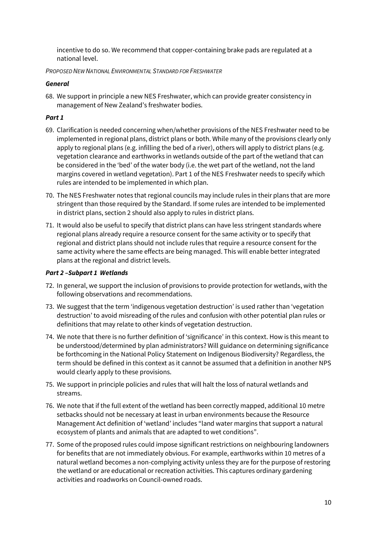incentive to do so. We recommend that copper-containing brake pads are regulated at a national level.

*PROPOSED NEW NATIONAL ENVIRONMENTAL STANDARD FOR FRESHWATER*

# *General*

68. We support in principle a new NES Freshwater, which can provide greater consistency in management of New Zealand's freshwater bodies.

# *Part 1*

- 69. Clarification is needed concerning when/whether provisions of the NES Freshwater need to be implemented in regional plans, district plans or both. While many of the provisions clearly only apply to regional plans (e.g. infilling the bed of a river), others will apply to district plans (e.g. vegetation clearance and earthworks in wetlands outside of the part of the wetland that can be considered in the 'bed' of the water body (i.e. the wet part of the wetland, not the land margins covered in wetland vegetation). Part 1 of the NES Freshwater needs to specify which rules are intended to be implemented in which plan.
- 70. The NES Freshwater notes that regional councils may include rules in their plans that are more stringent than those required by the Standard. If some rules are intended to be implemented in district plans, section 2 should also apply to rules in district plans.
- 71. It would also be useful to specify that district plans can have less stringent standards where regional plans already require a resource consent for the same activity or to specify that regional and district plans should not include rules that require a resource consent for the same activity where the same effects are being managed. This will enable better integrated plans at the regional and district levels.

# *Part 2 –Subpart 1 Wetlands*

- 72. In general, we support the inclusion of provisions to provide protection for wetlands, with the following observations and recommendations.
- 73. We suggest that the term 'indigenous vegetation destruction' is used rather than 'vegetation destruction' to avoid misreading of the rules and confusion with other potential plan rules or definitions that may relate to other kinds of vegetation destruction.
- 74. We note that there is no further definition of 'significance' in this context. How is this meant to be understood/determined by plan administrators? Will guidance on determining significance be forthcoming in the National Policy Statement on Indigenous Biodiversity? Regardless, the term should be defined in this context as it cannot be assumed that a definition in another NPS would clearly apply to these provisions.
- 75. We support in principle policies and rules that will halt the loss of natural wetlands and streams.
- 76. We note that if the full extent of the wetland has been correctly mapped, additional 10 metre setbacks should not be necessary at least in urban environments because the Resource Management Act definition of 'wetland' includes "land water margins that support a natural ecosystem of plants and animals that are adapted to wet conditions".
- 77. Some of the proposed rules could impose significant restrictions on neighbouring landowners for benefits that are not immediately obvious. For example, earthworks within 10 metres of a natural wetland becomes a non-complying activity unless they are for the purpose of restoring the wetland or are educational or recreation activities. This captures ordinary gardening activities and roadworks on Council-owned roads.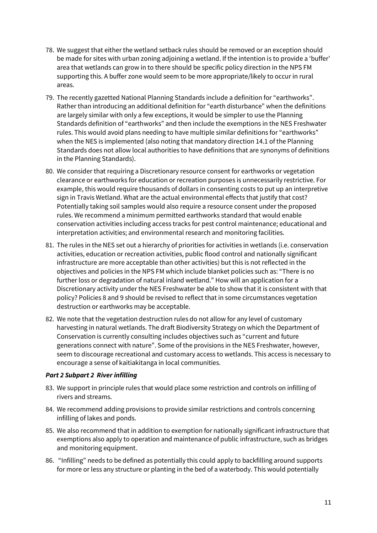- 78. We suggest that either the wetland setback rules should be removed or an exception should be made for sites with urban zoning adjoining a wetland. If the intention is to provide a 'buffer' area that wetlands can grow in to there should be specific policy direction in the NPS FM supporting this. A buffer zone would seem to be more appropriate/likely to occur in rural areas.
- 79. The recently gazetted National Planning Standards include a definition for "earthworks". Rather than introducing an additional definition for "earth disturbance" when the definitions are largely similar with only a few exceptions, it would be simpler to use the Planning Standards definition of "earthworks" and then include the exemptions in the NES Freshwater rules. This would avoid plans needing to have multiple similar definitions for "earthworks" when the NES is implemented (also noting that mandatory direction 14.1 of the Planning Standards does not allow local authorities to have definitions that are synonyms of definitions in the Planning Standards).
- 80. We consider that requiring a Discretionary resource consent for earthworks or vegetation clearance or earthworks for education or recreation purposes is unnecessarily restrictive. For example, this would require thousands of dollars in consenting costs to put up an interpretive sign in Travis Wetland. What are the actual environmental effects that justify that cost? Potentially taking soil samples would also require a resource consent under the proposed rules. We recommend a minimum permitted earthworks standard that would enable conservation activities including access tracks for pest control maintenance; educational and interpretation activities; and environmental research and monitoring facilities.
- 81. The rules in the NES set out a hierarchy of priorities for activities in wetlands (i.e. conservation activities, education or recreation activities, public flood control and nationally significant infrastructure are more acceptable than other activities) but this is not reflected in the objectives and policies in the NPS FM which include blanket policies such as: "There is no further loss or degradation of natural inland wetland." How will an application for a Discretionary activity under the NES Freshwater be able to show that it is consistent with that policy? Policies 8 and 9 should be revised to reflect that in some circumstances vegetation destruction or earthworks may be acceptable.
- 82. We note that the vegetation destruction rules do not allow for any level of customary harvesting in natural wetlands. The draft Biodiversity Strategy on which the Department of Conservation is currently consulting includes objectives such as "current and future generations connect with nature". Some of the provisions in the NES Freshwater, however, seem to discourage recreational and customary access to wetlands. This access is necessary to encourage a sense of kaitiakitanga in local communities.

### *Part 2 Subpart 2 River infilling*

- 83. We support in principle rules that would place some restriction and controls on infilling of rivers and streams.
- 84. We recommend adding provisions to provide similar restrictions and controls concerning infilling of lakes and ponds.
- 85. We also recommend that in addition to exemption for nationally significant infrastructure that exemptions also apply to operation and maintenance of public infrastructure, such as bridges and monitoring equipment.
- 86. "Infilling" needs to be defined as potentially this could apply to backfilling around supports for more or less any structure or planting in the bed of a waterbody. This would potentially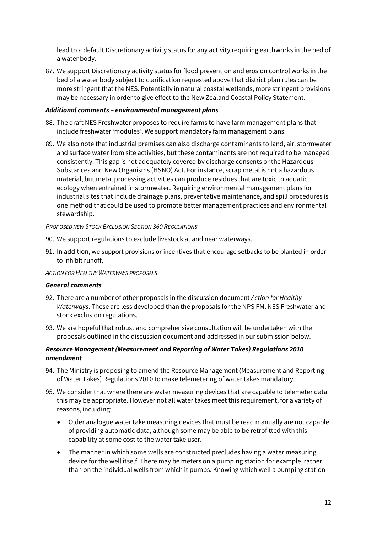lead to a default Discretionary activity status for any activity requiring earthworks in the bed of a water body.

87. We support Discretionary activity status for flood prevention and erosion control works in the bed of a water body subject to clarification requested above that district plan rules can be more stringent that the NES. Potentially in natural coastal wetlands, more stringent provisions may be necessary in order to give effect to the New Zealand Coastal Policy Statement.

### *Additional comments – environmental management plans*

- 88. The draft NES Freshwater proposes to require farms to have farm management plans that include freshwater 'modules'. We support mandatory farm management plans.
- 89. We also note that industrial premises can also discharge contaminants to land, air, stormwater and surface water from site activities, but these contaminants are not required to be managed consistently. This gap is not adequately covered by discharge consents or the Hazardous Substances and New Organisms (HSNO) Act. For instance, scrap metal is not a hazardous material, but metal processing activities can produce residues that are toxic to aquatic ecology when entrained in stormwater. Requiring environmental management plans for industrial sites that include drainage plans, preventative maintenance, and spill procedures is one method that could be used to promote better management practices and environmental stewardship.

*PROPOSED NEW STOCK EXCLUSION SECTION 360 REGULATIONS*

- 90. We support regulations to exclude livestock at and near waterways.
- 91. In addition, we support provisions or incentives that encourage setbacks to be planted in order to inhibit runoff.

#### *ACTION FOR HEALTHY WATERWAYS PROPOSALS*

#### *General comments*

- 92. There are a number of other proposals in the discussion document *Action for Healthy Waterways*. These are less developed than the proposals for the NPS FM, NES Freshwater and stock exclusion regulations.
- 93. We are hopeful that robust and comprehensive consultation will be undertaken with the proposals outlined in the discussion document and addressed in our submission below.

### *Resource Management (Measurement and Reporting of Water Takes) Regulations 2010 amendment*

- 94. The Ministry is proposing to amend the Resource Management (Measurement and Reporting of Water Takes) Regulations 2010 to make telemetering of water takes mandatory.
- 95. We consider that where there are water measuring devices that are capable to telemeter data this may be appropriate. However not all water takes meet this requirement, for a variety of reasons, including:
	- Older analogue water take measuring devices that must be read manually are not capable of providing automatic data, although some may be able to be retrofitted with this capability at some cost to the water take user.
	- The manner in which some wells are constructed precludes having a water measuring device for the well itself. There may be meters on a pumping station for example, rather than on the individual wells from which it pumps. Knowing which well a pumping station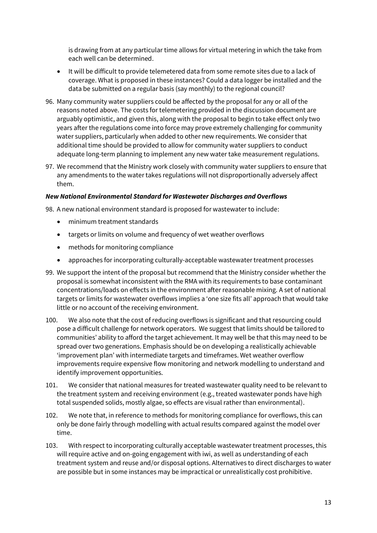is drawing from at any particular time allows for virtual metering in which the take from each well can be determined.

- It will be difficult to provide telemetered data from some remote sites due to a lack of coverage. What is proposed in these instances? Could a data logger be installed and the data be submitted on a regular basis (say monthly) to the regional council?
- 96. Many community water suppliers could be affected by the proposal for any or all of the reasons noted above. The costs for telemetering provided in the discussion document are arguably optimistic, and given this, along with the proposal to begin to take effect only two years after the regulations come into force may prove extremely challenging for community water suppliers, particularly when added to other new requirements. We consider that additional time should be provided to allow for community water suppliers to conduct adequate long-term planning to implement any new water take measurement regulations.
- 97. We recommend that the Ministry work closely with community water suppliers to ensure that any amendments to the water takes regulations will not disproportionally adversely affect them.

### *New National Environmental Standard for Wastewater Discharges and Overflows*

98. A new national environment standard is proposed for wastewater to include:

- minimum treatment standards
- targets or limits on volume and frequency of wet weather overflows
- methods for monitoring compliance
- approaches for incorporating culturally-acceptable wastewater treatment processes
- 99. We support the intent of the proposal but recommend that the Ministry consider whether the proposal is somewhat inconsistent with the RMA with its requirements to base contaminant concentrations/loads on effects in the environment after reasonable mixing. A set of national targets or limits for wastewater overflows implies a 'one size fits all' approach that would take little or no account of the receiving environment.
- 100. We also note that the cost of reducing overflows is significant and that resourcing could pose a difficult challenge for network operators. We suggest that limits should be tailored to communities' ability to afford the target achievement. It may well be that this may need to be spread over two generations. Emphasis should be on developing a realistically achievable 'improvement plan' with intermediate targets and timeframes. Wet weather overflow improvements require expensive flow monitoring and network modelling to understand and identify improvement opportunities.
- 101. We consider that national measures for treated wastewater quality need to be relevant to the treatment system and receiving environment (e.g., treated wastewater ponds have high total suspended solids, mostly algae, so effects are visual rather than environmental).
- 102. We note that, in reference to methods for monitoring compliance for overflows, this can only be done fairly through modelling with actual results compared against the model over time.
- 103. With respect to incorporating culturally acceptable wastewater treatment processes, this will require active and on-going engagement with iwi, as well as understanding of each treatment system and reuse and/or disposal options. Alternatives to direct discharges to water are possible but in some instances may be impractical or unrealistically cost prohibitive.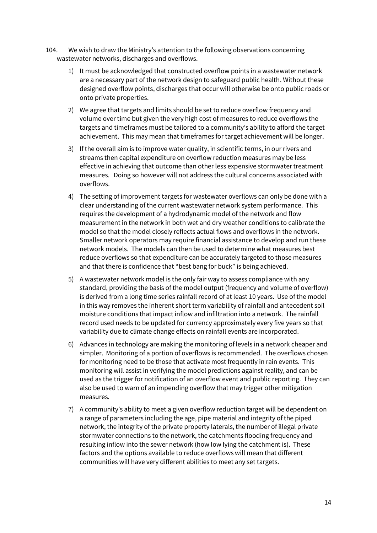- 104. We wish to draw the Ministry's attention to the following observations concerning wastewater networks, discharges and overflows.
	- 1) It must be acknowledged that constructed overflow points in a wastewater network are a necessary part of the network design to safeguard public health. Without these designed overflow points, discharges that occur will otherwise be onto public roads or onto private properties.
	- 2) We agree that targets and limits should be set to reduce overflow frequency and volume over time but given the very high cost of measures to reduce overflows the targets and timeframes must be tailored to a community's ability to afford the target achievement. This may mean that timeframes for target achievement will be longer.
	- 3) If the overall aim is to improve water quality, in scientific terms, in our rivers and streams then capital expenditure on overflow reduction measures may be less effective in achieving that outcome than other less expensive stormwater treatment measures. Doing so however will not address the cultural concerns associated with overflows.
	- 4) The setting of improvement targets for wastewater overflows can only be done with a clear understanding of the current wastewater network system performance. This requires the development of a hydrodynamic model of the network and flow measurement in the network in both wet and dry weather conditions to calibrate the model so that the model closely reflects actual flows and overflows in the network. Smaller network operators may require financial assistance to develop and run these network models. The models can then be used to determine what measures best reduce overflows so that expenditure can be accurately targeted to those measures and that there is confidence that "best bang for buck" is being achieved.
	- 5) A wastewater network model is the only fair way to assess compliance with any standard, providing the basis of the model output (frequency and volume of overflow) is derived from a long time series rainfall record of at least 10 years. Use of the model in this way removes the inherent short term variability of rainfall and antecedent soil moisture conditions that impact inflow and infiltration into a network. The rainfall record used needs to be updated for currency approximately every five years so that variability due to climate change effects on rainfall events are incorporated.
	- 6) Advances in technology are making the monitoring of levels in a network cheaper and simpler. Monitoring of a portion of overflows is recommended. The overflows chosen for monitoring need to be those that activate most frequently in rain events. This monitoring will assist in verifying the model predictions against reality, and can be used as the trigger for notification of an overflow event and public reporting. They can also be used to warn of an impending overflow that may trigger other mitigation measures.
	- 7) A community's ability to meet a given overflow reduction target will be dependent on a range of parameters including the age, pipe material and integrity of the piped network, the integrity of the private property laterals, the number of illegal private stormwater connections to the network, the catchments flooding frequency and resulting inflow into the sewer network (how low lying the catchment is). These factors and the options available to reduce overflows will mean that different communities will have very different abilities to meet any set targets.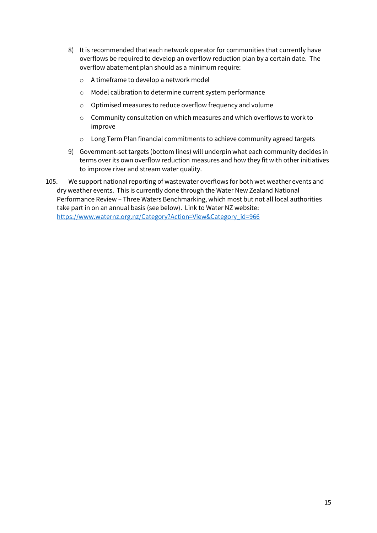- 8) It is recommended that each network operator for communities that currently have overflows be required to develop an overflow reduction plan by a certain date. The overflow abatement plan should as a minimum require:
	- o A timeframe to develop a network model
	- o Model calibration to determine current system performance
	- o Optimised measures to reduce overflow frequency and volume
	- o Community consultation on which measures and which overflows to work to improve
	- o Long Term Plan financial commitments to achieve community agreed targets
- 9) Government-set targets (bottom lines) will underpin what each community decides in terms over its own overflow reduction measures and how they fit with other initiatives to improve river and stream water quality.
- 105. We support national reporting of wastewater overflows for both wet weather events and dry weather events. This is currently done through the Water New Zealand National Performance Review – Three Waters Benchmarking, which most but not all local authorities take part in on an annual basis (see below). Link to Water NZ website: [https://www.waternz.org.nz/Category?Action=View&Category\\_id=966](https://www.waternz.org.nz/Category?Action=View&Category_id=966)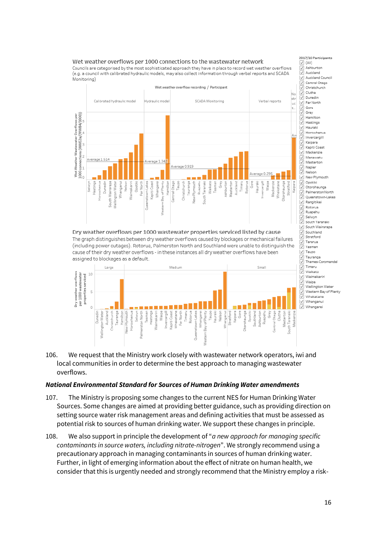#### Wet weather overflows per 1000 connections to the wastewater network

Councils are categorised by the most sophisticated approach they have in place to record wet weather overflows (e.g. a council with calibrated hydraulic models, may also collect information through verbal reports and SCADA Monitoring)



Dry weather overflows per 1000 wastewater properties serviced listed by cause The graph distinguishes between dry weather overflows caused by blockages or mechanical failures (including power outages). Rotorua, Palmerston North and Southland were unable to distinguish the cause of their dry weather overflows - in these instances all dry weather overflows have been assigned to blockages as a default.



Grey  $\frac{1}{2}$ Hamilton Hastings  $\checkmark$ Hauraki  $\overline{\mathcal{L}}$ Horowhenua IJ Invercaroill Kaipara Kapiti Coast Mackenzie IJ Manawatu ⊻ Masterton ⊽ Napie  $\frac{1}{2}$ Nelson  $\checkmark$ New Ply  $\leq$ Opotiki Otorohaunga Palmerston North Queenstown-Lakes Rangitikei  $\vee$  $\frac{1}{2}$ Rotorua Ruapehu  $\frac{1}{2}$ Selwyn South Taranaki  $\vee$ South Wairarapa  $\frac{1}{\sqrt{2}}$ Southland Stratford Tararua  $\frac{2}{3}$ Tasmar Taupo  $\backslash\!\!\backslash$ Tauranga V Thames-Coromandel Timaru Waikato  $\checkmark$ Waimakariri  $\frac{2}{3}$ Waipa Wellington Water Western Bay of Plenty  $\frac{2}{3}$ Whakatane

Whanganui

2017/18 Participants

.<br>Ashburtor

Auckland Auckland Council

Central Otago

Christchurch

Clutha

Dunedin

Gore

Far North

 $\sqrt{ }$  (AII)

IJ

106. We request that the Ministry work closely with wastewater network operators, iwi and local communities in order to determine the best approach to managing wastewater overflows.

#### *National Environmental Standard for Sources of Human Drinking Water amendments*

- 107. The Ministry is proposing some changes to the current NES for Human Drinking Water Sources. Some changes are aimed at providing better guidance, such as providing direction on setting source water risk management areas and defining activities that must be assessed as potential risk to sources of human drinking water. We support these changes in principle.
- 108. We also support in principle the development of "*a new approach for managing specific contaminants in source waters, including nitrate-nitrogen*". We strongly recommend using a precautionary approach in managing contaminants in sources of human drinking water. Further, in light of emerging information about the effect of nitrate on human health, we consider that this is urgently needed and strongly recommend that the Ministry employ a risk-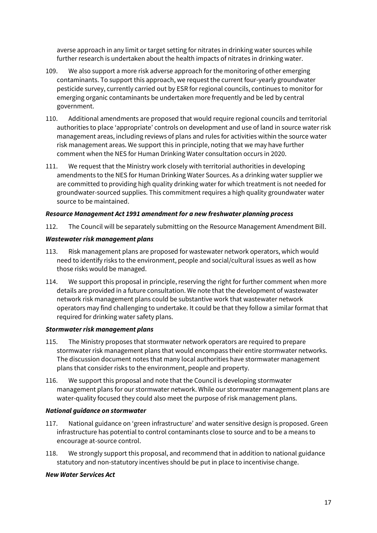averse approach in any limit or target setting for nitrates in drinking water sources while further research is undertaken about the health impacts of nitrates in drinking water.

- 109. We also support a more risk adverse approach for the monitoring of other emerging contaminants. To support this approach, we request the current four-yearly groundwater pesticide survey, currently carried out by ESR for regional councils, continues to monitor for emerging organic contaminants be undertaken more frequently and be led by central government.
- 110. Additional amendments are proposed that would require regional councils and territorial authorities to place 'appropriate' controls on development and use of land in source water risk management areas, including reviews of plans and rules for activities within the source water risk management areas. We support this in principle, noting that we may have further comment when the NES for Human Drinking Water consultation occurs in 2020.
- 111. We request that the Ministry work closely with territorial authorities in developing amendments to the NES for Human Drinking Water Sources. As a drinking water supplier we are committed to providing high quality drinking water for which treatment is not needed for groundwater-sourced supplies. This commitment requires a high quality groundwater water source to be maintained.

## *Resource Management Act 1991 amendment for a new freshwater planning process*

112. The Council will be separately submitting on the Resource Management Amendment Bill.

### *Wastewater risk management plans*

- 113. Risk management plans are proposed for wastewater network operators, which would need to identify risks to the environment, people and social/cultural issues as well as how those risks would be managed.
- 114. We support this proposal in principle, reserving the right for further comment when more details are provided in a future consultation. We note that the development of wastewater network risk management plans could be substantive work that wastewater network operators may find challenging to undertake. It could be that they follow a similar format that required for drinking water safety plans.

### *Stormwater risk management plans*

- 115. The Ministry proposes that stormwater network operators are required to prepare stormwater risk management plans that would encompass their entire stormwater networks. The discussion document notes that many local authorities have stormwater management plans that consider risks to the environment, people and property.
- 116. We support this proposal and note that the Council is developing stormwater management plans for our stormwater network. While our stormwater management plans are water-quality focused they could also meet the purpose of risk management plans.

### *National guidance on stormwater*

- 117. National guidance on 'green infrastructure' and water sensitive design is proposed. Green infrastructure has potential to control contaminants close to source and to be a means to encourage at-source control.
- 118. We strongly support this proposal, and recommend that in addition to national guidance statutory and non-statutory incentives should be put in place to incentivise change.

### *New Water Services Act*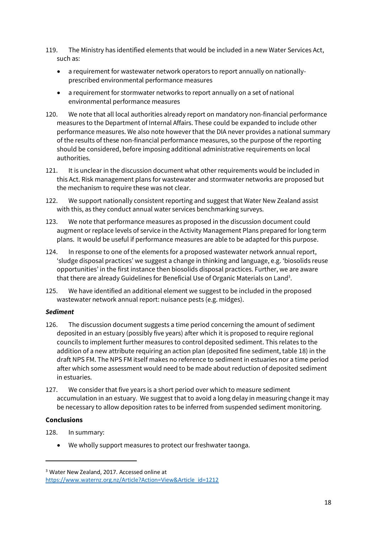- 119. The Ministry has identified elements that would be included in a new Water Services Act, such as:
	- a requirement for wastewater network operators to report annually on nationallyprescribed environmental performance measures
	- a requirement for stormwater networks to report annually on a set of national environmental performance measures
- 120. We note that all local authorities already report on mandatory non-financial performance measures to the Department of Internal Affairs. These could be expanded to include other performance measures. We also note however that the DIA never provides a national summary of the results of these non-financial performance measures, so the purpose of the reporting should be considered, before imposing additional administrative requirements on local authorities.
- 121. It is unclear in the discussion document what other requirements would be included in this Act. Risk management plans for wastewater and stormwater networks are proposed but the mechanism to require these was not clear.
- 122. We support nationally consistent reporting and suggest that Water New Zealand assist with this, as they conduct annual water services benchmarking surveys.
- 123. We note that performance measures as proposed in the discussion document could augment or replace levels of service in the Activity Management Plans prepared for long term plans. It would be useful if performance measures are able to be adapted for this purpose.
- 124. In response to one of the elements for a proposed wastewater network annual report, 'sludge disposal practices' we suggest a change in thinking and language, e.g. 'biosolids reuse opportunities' in the first instance then biosolids disposal practices. Further, we are aware that there are already Guidelines for Beneficial Use of Organic Materials on Land<sup>3</sup>.
- 125. We have identified an additional element we suggest to be included in the proposed wastewater network annual report: nuisance pests (e.g. midges).

### *Sediment*

- 126. The discussion document suggests a time period concerning the amount of sediment deposited in an estuary (possibly five years) after which it is proposed to require regional councils to implement further measures to control deposited sediment. This relates to the addition of a new attribute requiring an action plan (deposited fine sediment, table 18) in the draft NPS FM. The NPS FM itself makes no reference to sediment in estuaries nor a time period after which some assessment would need to be made about reduction of deposited sediment in estuaries.
- 127. We consider that five years is a short period over which to measure sediment accumulation in an estuary. We suggest that to avoid a long delay in measuring change it may be necessary to allow deposition rates to be inferred from suspended sediment monitoring.

### **Conclusions**

1

- 128. In summary:
	- We wholly support measures to protect our freshwater taonga.

<sup>3</sup> Water New Zealand, 2017. Accessed online at [https://www.waternz.org.nz/Article?Action=View&Article\\_id=1212](https://www.waternz.org.nz/Article?Action=View&Article_id=1212)